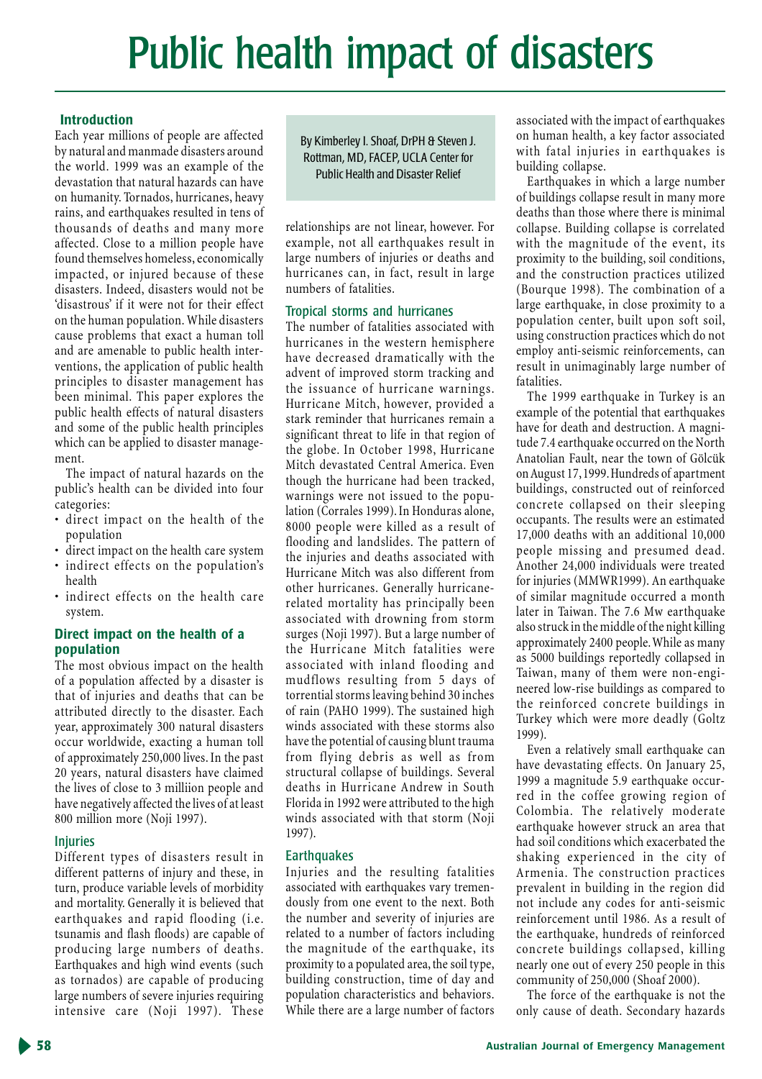# Public health impact of disasters

# **Introduction**

Each year millions of people are affected by natural and manmade disasters around the world. 1999 was an example of the devastation that natural hazards can have on humanity. Tornados, hurricanes, heavy rains, and earthquakes resulted in tens of thousands of deaths and many more affected. Close to a million people have found themselves homeless, economically impacted, or injured because of these disasters. Indeed, disasters would not be 'disastrous' if it were not for their effect on the human population. While disasters cause problems that exact a human toll and are amenable to public health interventions, the application of public health principles to disaster management has been minimal. This paper explores the public health effects of natural disasters and some of the public health principles which can be applied to disaster management.

The impact of natural hazards on the public's health can be divided into four categories:

- · direct impact on the health of the population
- direct impact on the health care system
- · indirect effects on the population's health
- · indirect effects on the health care system.

# Direct impact on the health of a population

The most obvious impact on the health of a population affected by a disaster is that of injuries and deaths that can be attributed directly to the disaster. Each year, approximately 300 natural disasters occur worldwide, exacting a human toll of approximately 250,000 lives. In the past 20 years, natural disasters have claimed the lives of close to 3 milliion people and have negatively affected the lives of at least 800 million more (Noji 1997).

# **Injuries**

Different types of disasters result in different patterns of injury and these, in turn, produce variable levels of morbidity and mortality. Generally it is believed that earthquakes and rapid flooding (i.e. tsunamis and flash floods) are capable of producing large numbers of deaths. Earthquakes and high wind events (such as tornados) are capable of producing large numbers of severe injuries requiring intensive care (Noji 1997). These

By Kimberley I. Shoaf, DrPH & Steven J. Rottman, MD, FACEP, UCLA Center for **Public Health and Disaster Relief** 

relationships are not linear, however. For example, not all earthquakes result in large numbers of injuries or deaths and hurricanes can, in fact, result in large numbers of fatalities.

# Tropical storms and hurricanes

The number of fatalities associated with hurricanes in the western hemisphere have decreased dramatically with the advent of improved storm tracking and the issuance of hurricane warnings. Hurricane Mitch, however, provided a stark reminder that hurricanes remain a significant threat to life in that region of the globe. In October 1998, Hurricane Mitch devastated Central America. Even though the hurricane had been tracked, warnings were not issued to the population (Corrales 1999). In Honduras alone, 8000 people were killed as a result of flooding and landslides. The pattern of the injuries and deaths associated with Hurricane Mitch was also different from other hurricanes. Generally hurricanerelated mortality has principally been associated with drowning from storm surges (Noji 1997). But a large number of the Hurricane Mitch fatalities were associated with inland flooding and mudflows resulting from 5 days of torrential storms leaving behind 30 inches of rain (PAHO 1999). The sustained high winds associated with these storms also have the potential of causing blunt trauma from flying debris as well as from structural collapse of buildings. Several deaths in Hurricane Andrew in South Florida in 1992 were attributed to the high winds associated with that storm (Noji 1997).

# **Earthquakes**

Injuries and the resulting fatalities associated with earthquakes vary tremendously from one event to the next. Both the number and severity of injuries are related to a number of factors including the magnitude of the earthquake, its proximity to a populated area, the soil type, building construction, time of day and population characteristics and behaviors. While there are a large number of factors

associated with the impact of earthquakes on human health, a key factor associated with fatal injuries in earthquakes is building collapse.

Earthquakes in which a large number of buildings collapse result in many more deaths than those where there is minimal collapse. Building collapse is correlated with the magnitude of the event, its proximity to the building, soil conditions, and the construction practices utilized (Bourque 1998). The combination of a large earthquake, in close proximity to a population center, built upon soft soil, using construction practices which do not employ anti-seismic reinforcements, can result in unimaginably large number of fatalities.

The 1999 earthquake in Turkey is an example of the potential that earthquakes have for death and destruction. A magnitude 7.4 earthquake occurred on the North Anatolian Fault, near the town of Gölcük on August 17, 1999. Hundreds of apartment buildings, constructed out of reinforced concrete collapsed on their sleeping occupants. The results were an estimated 17,000 deaths with an additional 10,000 people missing and presumed dead. Another 24,000 individuals were treated for injuries (MMWR1999). An earthquake of similar magnitude occurred a month later in Taiwan. The 7.6 Mw earthquake also struck in the middle of the night killing approximately 2400 people. While as many as 5000 buildings reportedly collapsed in Taiwan, many of them were non-engineered low-rise buildings as compared to the reinforced concrete buildings in Turkey which were more deadly (Goltz 1999).

Even a relatively small earthquake can have devastating effects. On January 25, 1999 a magnitude 5.9 earthquake occurred in the coffee growing region of Colombia. The relatively moderate earthquake however struck an area that had soil conditions which exacerbated the shaking experienced in the city of Armenia. The construction practices prevalent in building in the region did not include any codes for anti-seismic reinforcement until 1986. As a result of the earthquake, hundreds of reinforced concrete buildings collapsed, killing nearly one out of every 250 people in this community of 250,000 (Shoaf 2000).

The force of the earthquake is not the only cause of death. Secondary hazards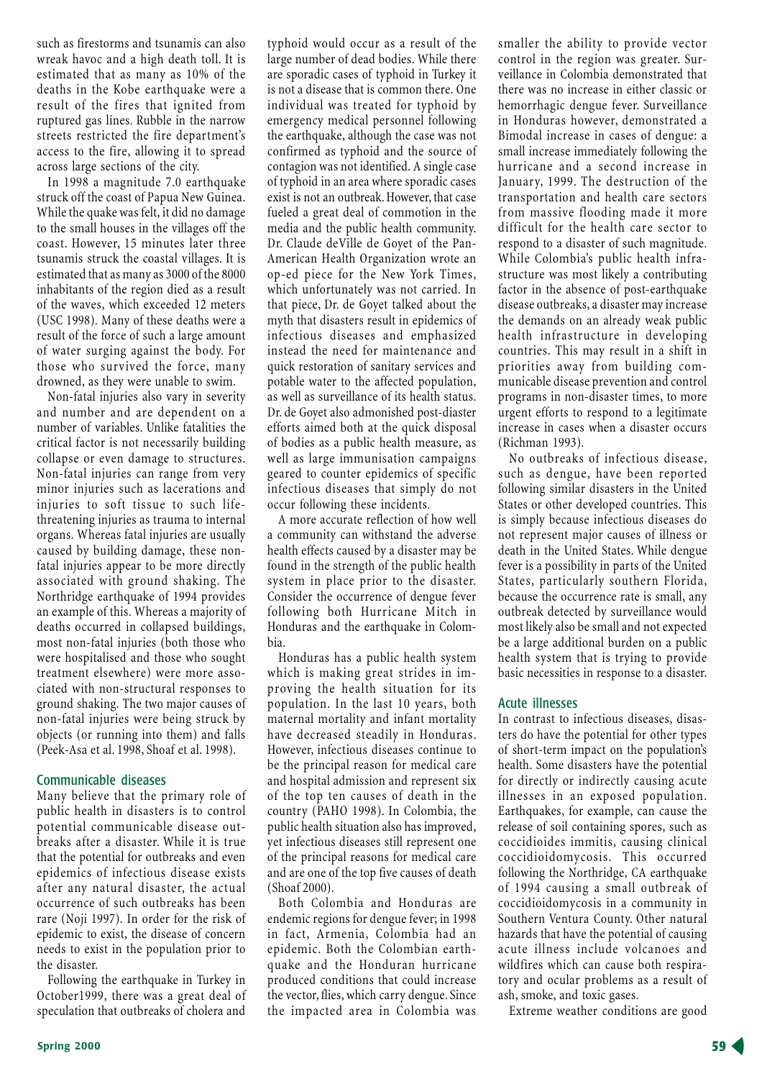such as firestorms and tsunamis can also wreak havoc and a high death toll. It is estimated that as many as 10% of the deaths in the Kobe earthquake were a result of the fires that ignited from ruptured gas lines. Rubble in the narrow streets restricted the fire department's access to the fire, allowing it to spread across large sections of the city.

In 1998 a magnitude 7.0 earthquake struck off the coast of Papua New Guinea. While the quake was felt, it did no damage to the small houses in the villages off the coast. However, 15 minutes later three tsunamis struck the coastal villages. It is estimated that as many as 3000 of the 8000 inhabitants of the region died as a result of the waves, which exceeded 12 meters (USC 1998). Many of these deaths were a result of the force of such a large amount of water surging against the body. For those who survived the force, many drowned, as they were unable to swim.

Non-fatal injuries also vary in severity and number and are dependent on a number of variables. Unlike fatalities the critical factor is not necessarily building collapse or even damage to structures. Non-fatal injuries can range from very minor injuries such as lacerations and injuries to soft tissue to such lifethreatening injuries as trauma to internal organs. Whereas fatal injuries are usually caused by building damage, these nonfatal injuries appear to be more directly associated with ground shaking. The Northridge earthquake of 1994 provides an example of this. Whereas a majority of deaths occurred in collapsed buildings, most non-fatal injuries (both those who were hospitalised and those who sought treatment elsewhere) were more associated with non-structural responses to ground shaking. The two major causes of non-fatal injuries were being struck by objects (or running into them) and falls (Peek-Asa et al. 1998, Shoaf et al. 1998).

# Communicable diseases

Many believe that the primary role of public health in disasters is to control potential communicable disease outbreaks after a disaster. While it is true that the potential for outbreaks and even epidemics of infectious disease exists after any natural disaster, the actual occurrence of such outbreaks has been rare (Noji 1997). In order for the risk of epidemic to exist, the disease of concern needs to exist in the population prior to the disaster.

Following the earthquake in Turkey in October1999, there was a great deal of speculation that outbreaks of cholera and

typhoid would occur as a result of the large number of dead bodies. While there are sporadic cases of typhoid in Turkey it is not a disease that is common there. One individual was treated for typhoid by emergency medical personnel following the earthquake, although the case was not confirmed as typhoid and the source of contagion was not identified. A single case of typhoid in an area where sporadic cases exist is not an outbreak. However, that case fueled a great deal of commotion in the media and the public health community. Dr. Claude deVille de Goyet of the Pan-American Health Organization wrote an op-ed piece for the New York Times, which unfortunately was not carried. In that piece, Dr. de Goyet talked about the myth that disasters result in epidemics of infectious diseases and emphasized instead the need for maintenance and quick restoration of sanitary services and potable water to the affected population, as well as surveillance of its health status. Dr. de Goyet also admonished post-diaster efforts aimed both at the quick disposal of bodies as a public health measure, as well as large immunisation campaigns geared to counter epidemics of specific infectious diseases that simply do not occur following these incidents.

A more accurate reflection of how well a community can withstand the adverse health effects caused by a disaster may be found in the strength of the public health system in place prior to the disaster. Consider the occurrence of dengue fever following both Hurricane Mitch in Honduras and the earthquake in Colombia.

Honduras has a public health system which is making great strides in improving the health situation for its population. In the last 10 years, both maternal mortality and infant mortality have decreased steadily in Honduras. However, infectious diseases continue to be the principal reason for medical care and hospital admission and represent six of the top ten causes of death in the country (PAHO 1998). In Colombia, the public health situation also has improved, yet infectious diseases still represent one of the principal reasons for medical care and are one of the top five causes of death (Shoaf 2000).

Both Colombia and Honduras are endemic regions for dengue fever; in 1998 in fact, Armenia, Colombia had an epidemic. Both the Colombian earthquake and the Honduran hurricane produced conditions that could increase the vector, flies, which carry dengue. Since the impacted area in Colombia was smaller the ability to provide vector control in the region was greater. Surveillance in Colombia demonstrated that there was no increase in either classic or hemorrhagic dengue fever. Surveillance in Honduras however, demonstrated a Bimodal increase in cases of dengue: a small increase immediately following the hurricane and a second increase in January, 1999. The destruction of the transportation and health care sectors from massive flooding made it more difficult for the health care sector to respond to a disaster of such magnitude. While Colombia's public health infrastructure was most likely a contributing factor in the absence of post-earthquake disease outbreaks, a disaster may increase the demands on an already weak public health infrastructure in developing countries. This may result in a shift in priorities away from building communicable disease prevention and control programs in non-disaster times, to more urgent efforts to respond to a legitimate increase in cases when a disaster occurs (Richman 1993).

No outbreaks of infectious disease, such as dengue, have been reported following similar disasters in the United States or other developed countries. This is simply because infectious diseases do not represent major causes of illness or death in the United States. While dengue fever is a possibility in parts of the United States, particularly southern Florida, because the occurrence rate is small, any outbreak detected by surveillance would most likely also be small and not expected be a large additional burden on a public health system that is trying to provide basic necessities in response to a disaster.

# **Acute illnesses**

In contrast to infectious diseases, disasters do have the potential for other types of short-term impact on the population's health. Some disasters have the potential for directly or indirectly causing acute illnesses in an exposed population. Earthquakes, for example, can cause the release of soil containing spores, such as coccidioides immitis, causing clinical coccidioidomycosis. This occurred following the Northridge, CA earthquake of 1994 causing a small outbreak of coccidioidomycosis in a community in Southern Ventura County. Other natural hazards that have the potential of causing acute illness include volcanoes and wildfires which can cause both respiratory and ocular problems as a result of ash, smoke, and toxic gases.

Extreme weather conditions are good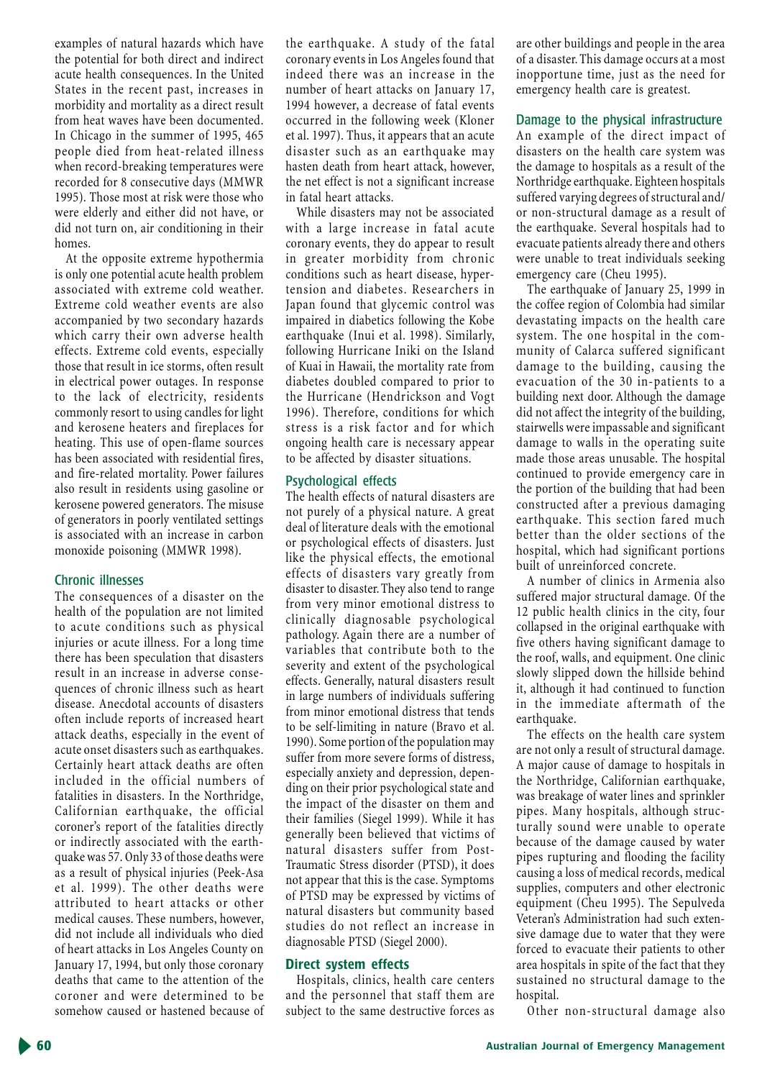examples of natural hazards which have the potential for both direct and indirect acute health consequences. In the United States in the recent past, increases in morbidity and mortality as a direct result from heat waves have been documented. In Chicago in the summer of 1995, 465 people died from heat-related illness when record-breaking temperatures were recorded for 8 consecutive days (MMWR 1995). Those most at risk were those who were elderly and either did not have, or did not turn on, air conditioning in their homes.

At the opposite extreme hypothermia is only one potential acute health problem associated with extreme cold weather. Extreme cold weather events are also accompanied by two secondary hazards which carry their own adverse health effects. Extreme cold events, especially those that result in ice storms, often result in electrical power outages. In response to the lack of electricity, residents commonly resort to using candles for light and kerosene heaters and fireplaces for heating. This use of open-flame sources has been associated with residential fires, and fire-related mortality. Power failures also result in residents using gasoline or kerosene powered generators. The misuse of generators in poorly ventilated settings is associated with an increase in carbon monoxide poisoning (MMWR 1998).

#### **Chronic illnesses**

The consequences of a disaster on the health of the population are not limited to acute conditions such as physical injuries or acute illness. For a long time there has been speculation that disasters result in an increase in adverse consequences of chronic illness such as heart disease. Anecdotal accounts of disasters often include reports of increased heart attack deaths, especially in the event of acute onset disasters such as earthquakes. Certainly heart attack deaths are often included in the official numbers of fatalities in disasters. In the Northridge, Californian earthquake, the official coroner's report of the fatalities directly or indirectly associated with the earthquake was 57. Only 33 of those deaths were as a result of physical injuries (Peek-Asa et al. 1999). The other deaths were attributed to heart attacks or other medical causes. These numbers, however, did not include all individuals who died of heart attacks in Los Angeles County on January 17, 1994, but only those coronary deaths that came to the attention of the coroner and were determined to be somehow caused or hastened because of

the earthquake. A study of the fatal coronary events in Los Angeles found that indeed there was an increase in the number of heart attacks on January 17, 1994 however, a decrease of fatal events occurred in the following week (Kloner et al. 1997). Thus, it appears that an acute disaster such as an earthquake may hasten death from heart attack, however, the net effect is not a significant increase in fatal heart attacks.

While disasters may not be associated with a large increase in fatal acute coronary events, they do appear to result in greater morbidity from chronic conditions such as heart disease, hypertension and diabetes. Researchers in Japan found that glycemic control was impaired in diabetics following the Kobe earthquake (Inui et al. 1998). Similarly, following Hurricane Iniki on the Island of Kuai in Hawaii, the mortality rate from diabetes doubled compared to prior to the Hurricane (Hendrickson and Vogt 1996). Therefore, conditions for which stress is a risk factor and for which ongoing health care is necessary appear to be affected by disaster situations.

#### Psychological effects

The health effects of natural disasters are not purely of a physical nature. A great deal of literature deals with the emotional or psychological effects of disasters. Just like the physical effects, the emotional effects of disasters vary greatly from disaster to disaster. They also tend to range from very minor emotional distress to clinically diagnosable psychological pathology. Again there are a number of variables that contribute both to the severity and extent of the psychological effects. Generally, natural disasters result in large numbers of individuals suffering from minor emotional distress that tends to be self-limiting in nature (Bravo et al. 1990). Some portion of the population may suffer from more severe forms of distress, especially anxiety and depression, depending on their prior psychological state and the impact of the disaster on them and their families (Siegel 1999). While it has generally been believed that victims of natural disasters suffer from Post-Traumatic Stress disorder (PTSD), it does not appear that this is the case. Symptoms of PTSD may be expressed by victims of natural disasters but community based studies do not reflect an increase in diagnosable PTSD (Siegel 2000).

# Direct system effects

Hospitals, clinics, health care centers and the personnel that staff them are subject to the same destructive forces as are other buildings and people in the area of a disaster. This damage occurs at a most inopportune time, just as the need for emergency health care is greatest.

# Damage to the physical infrastructure

An example of the direct impact of disasters on the health care system was the damage to hospitals as a result of the Northridge earthquake. Eighteen hospitals suffered varying degrees of structural and/ or non-structural damage as a result of the earthquake. Several hospitals had to evacuate patients already there and others were unable to treat individuals seeking emergency care (Cheu 1995).

The earthquake of January 25, 1999 in the coffee region of Colombia had similar devastating impacts on the health care system. The one hospital in the community of Calarca suffered significant damage to the building, causing the evacuation of the 30 in-patients to a building next door. Although the damage did not affect the integrity of the building, stairwells were impassable and significant damage to walls in the operating suite made those areas unusable. The hospital continued to provide emergency care in the portion of the building that had been constructed after a previous damaging earthquake. This section fared much better than the older sections of the hospital, which had significant portions built of unreinforced concrete.

A number of clinics in Armenia also suffered major structural damage. Of the 12 public health clinics in the city, four collapsed in the original earthquake with five others having significant damage to the roof, walls, and equipment. One clinic slowly slipped down the hillside behind it, although it had continued to function in the immediate aftermath of the earthquake.

The effects on the health care system are not only a result of structural damage. A major cause of damage to hospitals in the Northridge, Californian earthquake, was breakage of water lines and sprinkler pipes. Many hospitals, although structurally sound were unable to operate because of the damage caused by water pipes rupturing and flooding the facility causing a loss of medical records, medical supplies, computers and other electronic equipment (Cheu 1995). The Sepulveda Veteran's Administration had such extensive damage due to water that they were forced to evacuate their patients to other area hospitals in spite of the fact that they sustained no structural damage to the hospital.

Other non-structural damage also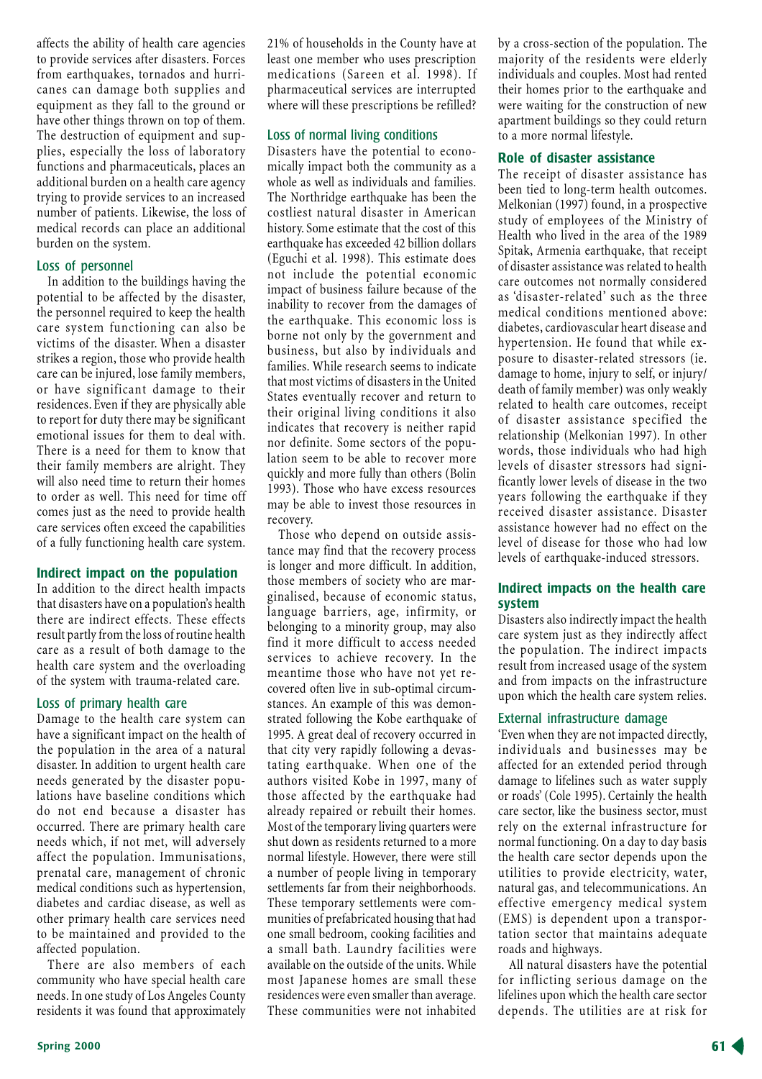affects the ability of health care agencies to provide services after disasters. Forces from earthquakes, tornados and hurricanes can damage both supplies and equipment as they fall to the ground or have other things thrown on top of them. The destruction of equipment and supplies, especially the loss of laboratory functions and pharmaceuticals, places an additional burden on a health care agency trying to provide services to an increased number of patients. Likewise, the loss of medical records can place an additional burden on the system.

#### Loss of personnel

In addition to the buildings having the potential to be affected by the disaster, the personnel required to keep the health care system functioning can also be victims of the disaster. When a disaster strikes a region, those who provide health care can be injured, lose family members, or have significant damage to their residences. Even if they are physically able to report for duty there may be significant emotional issues for them to deal with. There is a need for them to know that their family members are alright. They will also need time to return their homes to order as well. This need for time off comes just as the need to provide health care services often exceed the capabilities of a fully functioning health care system.

#### Indirect impact on the population

In addition to the direct health impacts that disasters have on a population's health there are indirect effects. These effects result partly from the loss of routine health care as a result of both damage to the health care system and the overloading of the system with trauma-related care.

#### Loss of primary health care

Damage to the health care system can have a significant impact on the health of the population in the area of a natural disaster. In addition to urgent health care needs generated by the disaster populations have baseline conditions which do not end because a disaster has occurred. There are primary health care needs which, if not met, will adversely affect the population. Immunisations, prenatal care, management of chronic medical conditions such as hypertension, diabetes and cardiac disease, as well as other primary health care services need to be maintained and provided to the affected population.

There are also members of each community who have special health care needs. In one study of Los Angeles County residents it was found that approximately 21% of households in the County have at least one member who uses prescription medications (Sareen et al. 1998). If pharmaceutical services are interrupted where will these prescriptions be refilled?

#### Loss of normal living conditions

Disasters have the potential to economically impact both the community as a whole as well as individuals and families. The Northridge earthquake has been the costliest natural disaster in American history. Some estimate that the cost of this earthquake has exceeded 42 billion dollars (Eguchi et al. 1998). This estimate does not include the potential economic impact of business failure because of the inability to recover from the damages of the earthquake. This economic loss is borne not only by the government and business, but also by individuals and families. While research seems to indicate that most victims of disasters in the United States eventually recover and return to their original living conditions it also indicates that recovery is neither rapid nor definite. Some sectors of the population seem to be able to recover more quickly and more fully than others (Bolin 1993). Those who have excess resources may be able to invest those resources in recovery.

Those who depend on outside assistance may find that the recovery process is longer and more difficult. In addition, those members of society who are marginalised, because of economic status, language barriers, age, infirmity, or belonging to a minority group, may also find it more difficult to access needed services to achieve recovery. In the meantime those who have not yet recovered often live in sub-optimal circumstances. An example of this was demonstrated following the Kobe earthquake of 1995. A great deal of recovery occurred in that city very rapidly following a devastating earthquake. When one of the authors visited Kobe in 1997, many of those affected by the earthquake had already repaired or rebuilt their homes. Most of the temporary living quarters were shut down as residents returned to a more normal lifestyle. However, there were still a number of people living in temporary settlements far from their neighborhoods. These temporary settlements were communities of prefabricated housing that had one small bedroom, cooking facilities and a small bath. Laundry facilities were available on the outside of the units. While most Japanese homes are small these residences were even smaller than average. These communities were not inhabited

by a cross-section of the population. The majority of the residents were elderly individuals and couples. Most had rented their homes prior to the earthquake and were waiting for the construction of new apartment buildings so they could return to a more normal lifestyle.

#### Role of disaster assistance

The receipt of disaster assistance has been tied to long-term health outcomes. Melkonian (1997) found, in a prospective study of employees of the Ministry of Health who lived in the area of the 1989 Spitak, Armenia earthquake, that receipt of disaster assistance was related to health care outcomes not normally considered as 'disaster-related' such as the three medical conditions mentioned above: diabetes, cardiovascular heart disease and hypertension. He found that while exposure to disaster-related stressors (ie. damage to home, injury to self, or injury/ death of family member) was only weakly related to health care outcomes, receipt of disaster assistance specified the relationship (Melkonian 1997). In other words, those individuals who had high levels of disaster stressors had significantly lower levels of disease in the two years following the earthquake if they received disaster assistance. Disaster assistance however had no effect on the level of disease for those who had low levels of earthquake-induced stressors.

# Indirect impacts on the health care system

Disasters also indirectly impact the health care system just as they indirectly affect the population. The indirect impacts result from increased usage of the system and from impacts on the infrastructure upon which the health care system relies.

#### External infrastructure damage

'Even when they are not impacted directly, individuals and businesses may be affected for an extended period through damage to lifelines such as water supply or roads' (Cole 1995). Certainly the health care sector, like the business sector, must rely on the external infrastructure for normal functioning. On a day to day basis the health care sector depends upon the utilities to provide electricity, water, natural gas, and telecommunications. An effective emergency medical system (EMS) is dependent upon a transportation sector that maintains adequate roads and highways.

All natural disasters have the potential for inflicting serious damage on the lifelines upon which the health care sector depends. The utilities are at risk for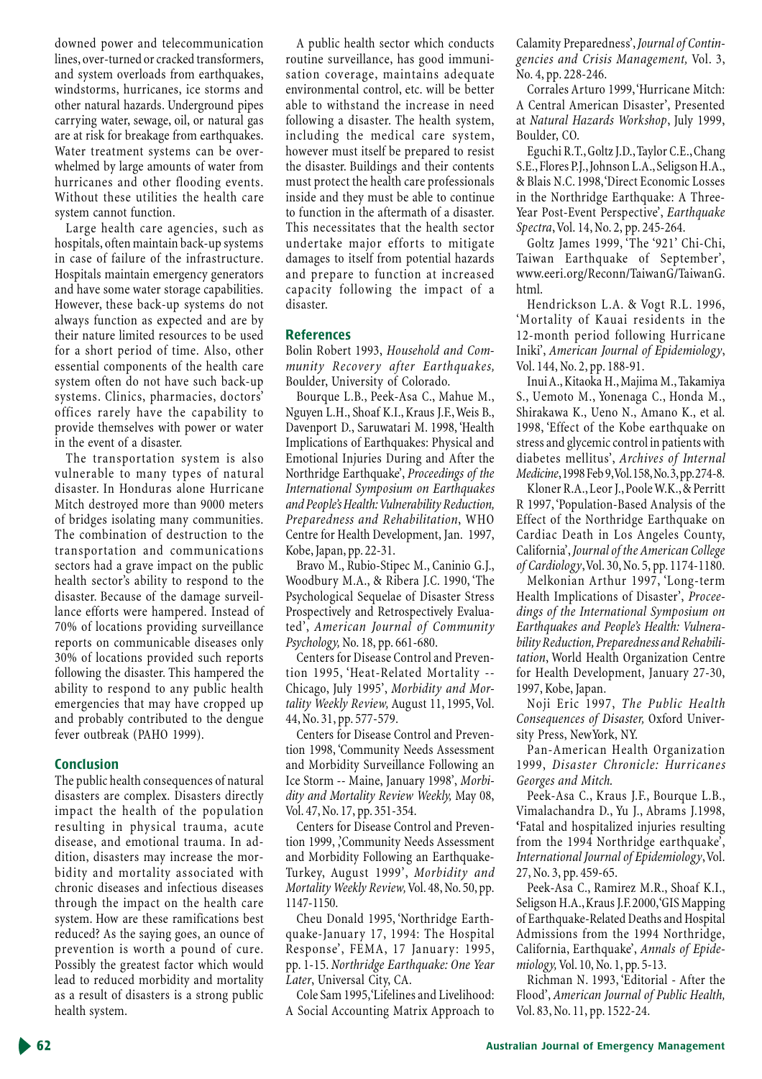downed power and telecommunication lines, over-turned or cracked transformers, and system overloads from earthquakes, windstorms, hurricanes, ice storms and other natural hazards. Underground pipes carrying water, sewage, oil, or natural gas are at risk for breakage from earthquakes. Water treatment systems can be overwhelmed by large amounts of water from hurricanes and other flooding events. Without these utilities the health care system cannot function.

Large health care agencies, such as hospitals, often maintain back-up systems in case of failure of the infrastructure. Hospitals maintain emergency generators and have some water storage capabilities. However, these back-up systems do not always function as expected and are by their nature limited resources to be used for a short period of time. Also, other essential components of the health care system often do not have such back-up systems. Clinics, pharmacies, doctors' offices rarely have the capability to provide themselves with power or water in the event of a disaster.

The transportation system is also vulnerable to many types of natural disaster. In Honduras alone Hurricane Mitch destroyed more than 9000 meters of bridges isolating many communities. The combination of destruction to the transportation and communications sectors had a grave impact on the public health sector's ability to respond to the disaster. Because of the damage surveillance efforts were hampered. Instead of 70% of locations providing surveillance reports on communicable diseases only 30% of locations provided such reports following the disaster. This hampered the ability to respond to any public health emergencies that may have cropped up and probably contributed to the dengue fever outbreak (PAHO 1999).

#### **Conclusion**

The public health consequences of natural disasters are complex. Disasters directly impact the health of the population resulting in physical trauma, acute disease, and emotional trauma. In addition, disasters may increase the morbidity and mortality associated with chronic diseases and infectious diseases through the impact on the health care system. How are these ramifications best reduced? As the saying goes, an ounce of prevention is worth a pound of cure. Possibly the greatest factor which would lead to reduced morbidity and mortality as a result of disasters is a strong public health system.

A public health sector which conducts routine surveillance, has good immunisation coverage, maintains adequate environmental control, etc. will be better able to withstand the increase in need following a disaster. The health system, including the medical care system, however must itself be prepared to resist the disaster. Buildings and their contents must protect the health care professionals inside and they must be able to continue to function in the aftermath of a disaster. This necessitates that the health sector undertake major efforts to mitigate damages to itself from potential hazards and prepare to function at increased capacity following the impact of a disaster.

#### **References**

Bolin Robert 1993, Household and Community Recovery after Earthquakes, Boulder, University of Colorado.

Bourque L.B., Peek-Asa C., Mahue M., Nguyen L.H., Shoaf K.I., Kraus J.F., Weis B., Davenport D., Saruwatari M. 1998, 'Health Implications of Earthquakes: Physical and Emotional Injuries During and After the Northridge Earthquake', *Proceedings of the* International Symposium on Earthquakes and People's Health: Vulnerability Reduction, Preparedness and Rehabilitation, WHO Centre for Health Development, Jan. 1997, Kobe, Japan, pp. 22-31.

Bravo M., Rubio-Stipec M., Caninio G.J., Woodbury M.A., & Ribera J.C. 1990, 'The Psychological Sequelae of Disaster Stress Prospectively and Retrospectively Evaluated', American Journal of Community Psychology, No. 18, pp. 661-680.

Centers for Disease Control and Prevention 1995, 'Heat-Related Mortality --Chicago, July 1995', Morbidity and Mortality Weekly Review, August 11, 1995, Vol. 44, No. 31, pp. 577-579.

Centers for Disease Control and Prevention 1998, 'Community Needs Assessment and Morbidity Surveillance Following an Ice Storm -- Maine, January 1998', Morbidity and Mortality Review Weekly, May 08, Vol. 47, No. 17, pp. 351-354.

Centers for Disease Control and Prevention 1999, 'Community Needs Assessment and Morbidity Following an Earthquake-Turkey, August 1999', Morbidity and Mortality Weekly Review, Vol. 48, No. 50, pp. 1147-1150.

Cheu Donald 1995, 'Northridge Earthquake-January 17, 1994: The Hospital Response', FEMA, 17 January: 1995, pp. 1-15. Northridge Earthquake: One Year Later, Universal City, CA.

Cole Sam 1995, 'Lifelines and Livelihood: A Social Accounting Matrix Approach to Calamity Preparedness', Journal of Contingencies and Crisis Management, Vol. 3, No. 4, pp. 228-246.

Corrales Arturo 1999, 'Hurricane Mitch: A Central American Disaster', Presented at Natural Hazards Workshop, July 1999, Boulder, CO.

Eguchi R.T., Goltz J.D., Taylor C.E., Chang S.E., Flores P.J., Johnson L.A., Seligson H.A., & Blais N.C. 1998, Direct Economic Losses in the Northridge Earthquake: A Three-Year Post-Event Perspective', Earthquake Spectra, Vol. 14, No. 2, pp. 245-264.

Goltz James 1999, 'The '921' Chi-Chi, Taiwan Earthquake of September', www.eeri.org/Reconn/TaiwanG/TaiwanG. html.

Hendrickson L.A. & Vogt R.L. 1996, 'Mortality of Kauai residents in the 12-month period following Hurricane Iniki', American Journal of Epidemiology, Vol. 144, No. 2, pp. 188-91.

Inui A., Kitaoka H., Majima M., Takamiya S., Uemoto M., Yonenaga C., Honda M., Shirakawa K., Ueno N., Amano K., et al. 1998, 'Effect of the Kobe earthquake on stress and glycemic control in patients with diabetes mellitus', Archives of Internal Medicine, 1998 Feb 9, Vol. 158, No. 3, pp. 274-8.

Kloner R.A., Leor J., Poole W.K., & Perritt R 1997, 'Population-Based Analysis of the Effect of the Northridge Earthquake on Cardiac Death in Los Angeles County, California', Journal of the American College of Cardiology, Vol. 30, No. 5, pp. 1174-1180.

Melkonian Arthur 1997, 'Long-term Health Implications of Disaster', Proceedings of the International Symposium on Earthquakes and People's Health: Vulnerability Reduction, Preparedness and Rehabilitation, World Health Organization Centre for Health Development, January 27-30, 1997, Kobe, Japan.

Noji Eric 1997, The Public Health Consequences of Disaster, Oxford University Press, NewYork, NY.

Pan-American Health Organization 1999, Disaster Chronicle: Hurricanes Georges and Mitch.

Peek-Asa C., Kraus J.F., Bourque L.B., Vimalachandra D., Yu J., Abrams J.1998, 'Fatal and hospitalized injuries resulting from the 1994 Northridge earthquake', International Journal of Epidemiology, Vol. 27, No. 3, pp. 459-65.

Peek-Asa C., Ramirez M.R., Shoaf K.I., Seligson H.A., Kraus J.F. 2000, GIS Mapping of Earthquake-Related Deaths and Hospital Admissions from the 1994 Northridge, California, Earthquake', Annals of Epide*miology*, Vol. 10, No. 1, pp. 5-13.

Richman N. 1993, 'Editorial - After the Flood', American Journal of Public Health, Vol. 83, No. 11, pp. 1522-24.